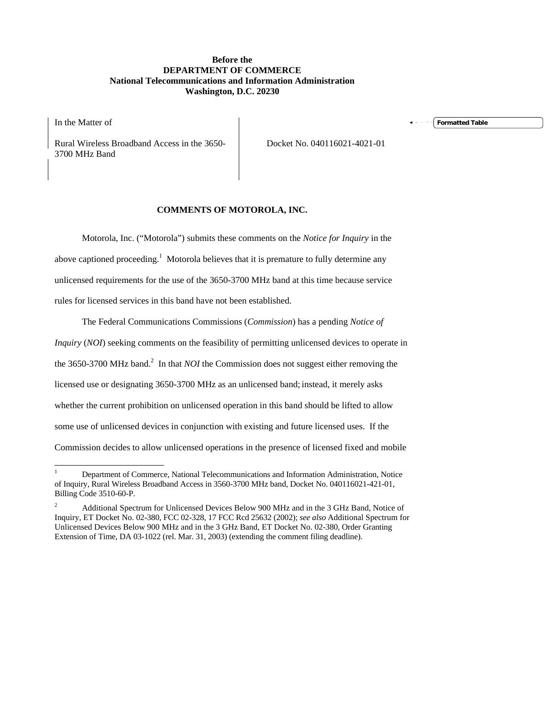### **Before the DEPARTMENT OF COMMERCE National Telecommunications and Information Administration Washington, D.C. 20230**

In the Matter of

Rural Wireless Broadband Access in the 3650- 3700 MHz Band

Docket No. 040116021-4021-01

## **COMMENTS OF MOTOROLA, INC.**

Motorola, Inc. ("Motorola") submits these comments on the *Notice for Inquiry* in the above captioned proceeding.<sup>1</sup> Motorola believes that it is premature to fully determine any unlicensed requirements for the use of the 3650-3700 MHz band at this time because service rules for licensed services in this band have not been established.

The Federal Communications Commissions (*Commission*) has a pending *Notice of Inquiry* (*NOI*) seeking comments on the feasibility of permitting unlicensed devices to operate in the 3650-3700 MHz band.<sup>2</sup> In that *NOI* the Commission does not suggest either removing the licensed use or designating 3650-3700 MHz as an unlicensed band; instead, it merely asks whether the current prohibition on unlicensed operation in this band should be lifted to allow some use of unlicensed devices in conjunction with existing and future licensed uses. If the Commission decides to allow unlicensed operations in the presence of licensed fixed and mobile

**Formatted Table**

 $\frac{1}{1}$  Department of Commerce, National Telecommunications and Information Administration, Notice of Inquiry, Rural Wireless Broadband Access in 3560-3700 MHz band, Docket No. 040116021-421-01, Billing Code 3510-60-P.

<sup>2</sup> Additional Spectrum for Unlicensed Devices Below 900 MHz and in the 3 GHz Band, Notice of Inquiry, ET Docket No. 02-380, FCC 02-328, 17 FCC Rcd 25632 (2002); *see also* Additional Spectrum for Unlicensed Devices Below 900 MHz and in the 3 GHz Band, ET Docket No. 02-380, Order Granting Extension of Time, DA 03-1022 (rel. Mar. 31, 2003) (extending the comment filing deadline).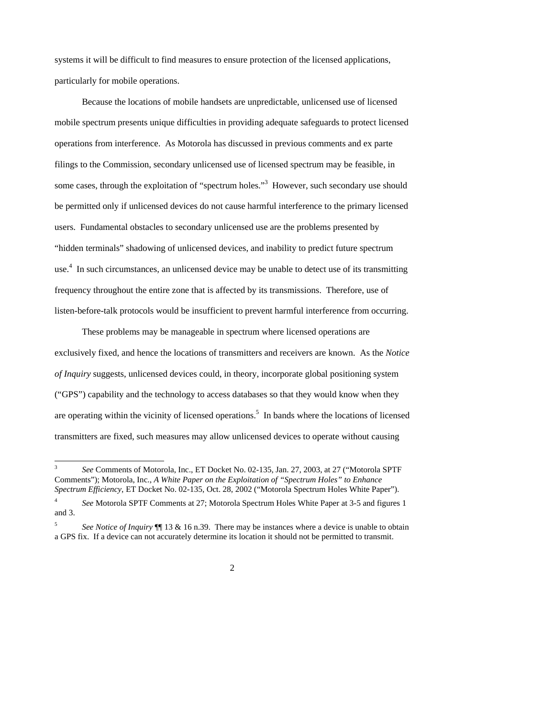systems it will be difficult to find measures to ensure protection of the licensed applications, particularly for mobile operations.

Because the locations of mobile handsets are unpredictable, unlicensed use of licensed mobile spectrum presents unique difficulties in providing adequate safeguards to protect licensed operations from interference. As Motorola has discussed in previous comments and ex parte filings to the Commission, secondary unlicensed use of licensed spectrum may be feasible, in some cases, through the exploitation of "spectrum holes."<sup>3</sup> However, such secondary use should be permitted only if unlicensed devices do not cause harmful interference to the primary licensed users. Fundamental obstacles to secondary unlicensed use are the problems presented by "hidden terminals" shadowing of unlicensed devices, and inability to predict future spectrum use.<sup>4</sup> In such circumstances, an unlicensed device may be unable to detect use of its transmitting frequency throughout the entire zone that is affected by its transmissions. Therefore, use of listen-before-talk protocols would be insufficient to prevent harmful interference from occurring.

These problems may be manageable in spectrum where licensed operations are exclusively fixed, and hence the locations of transmitters and receivers are known. As the *Notice of Inquiry* suggests, unlicensed devices could, in theory, incorporate global positioning system ("GPS") capability and the technology to access databases so that they would know when they are operating within the vicinity of licensed operations.<sup>5</sup> In bands where the locations of licensed transmitters are fixed, such measures may allow unlicensed devices to operate without causing

-

<sup>5</sup> *See Notice of Inquiry* ¶¶ 13 & 16 n.39. There may be instances where a device is unable to obtain a GPS fix. If a device can not accurately determine its location it should not be permitted to transmit.



<sup>3</sup> *See* Comments of Motorola, Inc., ET Docket No. 02-135, Jan. 27, 2003, at 27 ("Motorola SPTF Comments"); Motorola, Inc., *A White Paper on the Exploitation of "Spectrum Holes" to Enhance Spectrum Efficiency*, ET Docket No. 02-135, Oct. 28, 2002 ("Motorola Spectrum Holes White Paper").

<sup>4</sup> *See* Motorola SPTF Comments at 27; Motorola Spectrum Holes White Paper at 3-5 and figures 1 and 3.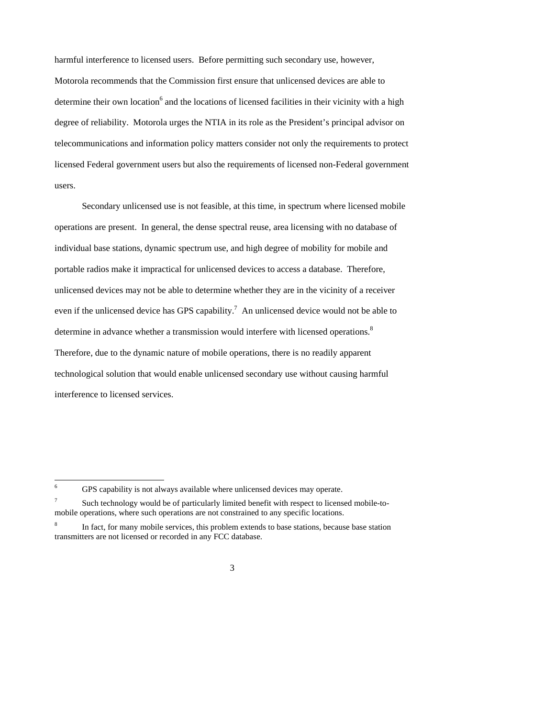harmful interference to licensed users. Before permitting such secondary use, however, Motorola recommends that the Commission first ensure that unlicensed devices are able to determine their own location<sup>6</sup> and the locations of licensed facilities in their vicinity with a high degree of reliability. Motorola urges the NTIA in its role as the President's principal advisor on telecommunications and information policy matters consider not only the requirements to protect licensed Federal government users but also the requirements of licensed non-Federal government users.

Secondary unlicensed use is not feasible, at this time, in spectrum where licensed mobile operations are present. In general, the dense spectral reuse, area licensing with no database of individual base stations, dynamic spectrum use, and high degree of mobility for mobile and portable radios make it impractical for unlicensed devices to access a database. Therefore, unlicensed devices may not be able to determine whether they are in the vicinity of a receiver even if the unlicensed device has GPS capability.<sup>7</sup> An unlicensed device would not be able to determine in advance whether a transmission would interfere with licensed operations.<sup>8</sup> Therefore, due to the dynamic nature of mobile operations, there is no readily apparent technological solution that would enable unlicensed secondary use without causing harmful interference to licensed services.

 $\frac{1}{6}$ GPS capability is not always available where unlicensed devices may operate.

<sup>7</sup> Such technology would be of particularly limited benefit with respect to licensed mobile-tomobile operations, where such operations are not constrained to any specific locations.

<sup>8</sup> In fact, for many mobile services, this problem extends to base stations, because base station transmitters are not licensed or recorded in any FCC database.

<sup>3</sup>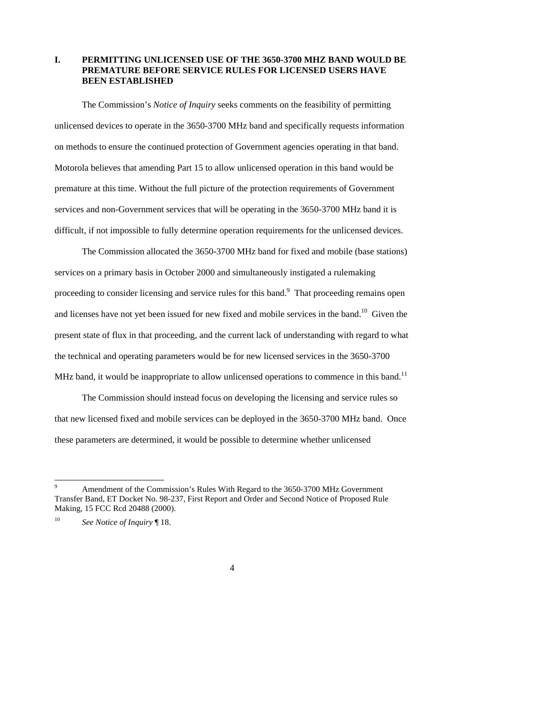## **I. PERMITTING UNLICENSED USE OF THE 3650-3700 MHZ BAND WOULD BE PREMATURE BEFORE SERVICE RULES FOR LICENSED USERS HAVE BEEN ESTABLISHED**

The Commission's *Notice of Inquiry* seeks comments on the feasibility of permitting unlicensed devices to operate in the 3650-3700 MHz band and specifically requests information on methods to ensure the continued protection of Government agencies operating in that band. Motorola believes that amending Part 15 to allow unlicensed operation in this band would be premature at this time. Without the full picture of the protection requirements of Government services and non-Government services that will be operating in the 3650-3700 MHz band it is difficult, if not impossible to fully determine operation requirements for the unlicensed devices.

The Commission allocated the 3650-3700 MHz band for fixed and mobile (base stations) services on a primary basis in October 2000 and simultaneously instigated a rulemaking proceeding to consider licensing and service rules for this band.<sup>9</sup> That proceeding remains open and licenses have not yet been issued for new fixed and mobile services in the band.<sup>10</sup> Given the present state of flux in that proceeding, and the current lack of understanding with regard to what the technical and operating parameters would be for new licensed services in the 3650-3700 MHz band, it would be inappropriate to allow unlicensed operations to commence in this band.<sup>11</sup>

The Commission should instead focus on developing the licensing and service rules so that new licensed fixed and mobile services can be deployed in the 3650-3700 MHz band. Once these parameters are determined, it would be possible to determine whether unlicensed

-

<sup>9</sup> Amendment of the Commission's Rules With Regard to the 3650-3700 MHz Government Transfer Band, ET Docket No. 98-237, First Report and Order and Second Notice of Proposed Rule Making, 15 FCC Rcd 20488 (2000).

<sup>10</sup> *See Notice of Inquiry* ¶ 18.

<sup>4</sup>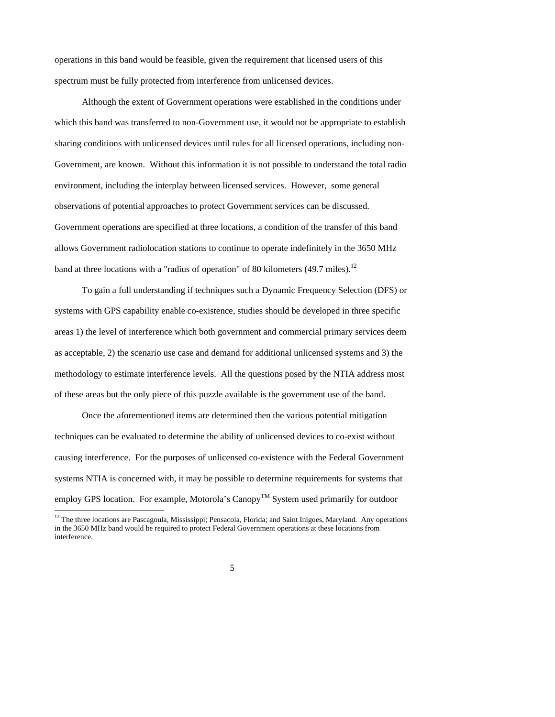operations in this band would be feasible, given the requirement that licensed users of this spectrum must be fully protected from interference from unlicensed devices.

Although the extent of Government operations were established in the conditions under which this band was transferred to non-Government use, it would not be appropriate to establish sharing conditions with unlicensed devices until rules for all licensed operations, including non-Government, are known. Without this information it is not possible to understand the total radio environment, including the interplay between licensed services. However, some general observations of potential approaches to protect Government services can be discussed. Government operations are specified at three locations, a condition of the transfer of this band allows Government radiolocation stations to continue to operate indefinitely in the 3650 MHz band at three locations with a "radius of operation" of 80 kilometers (49.7 miles).<sup>12</sup>

To gain a full understanding if techniques such a Dynamic Frequency Selection (DFS) or systems with GPS capability enable co-existence, studies should be developed in three specific areas 1) the level of interference which both government and commercial primary services deem as acceptable, 2) the scenario use case and demand for additional unlicensed systems and 3) the methodology to estimate interference levels. All the questions posed by the NTIA address most of these areas but the only piece of this puzzle available is the government use of the band.

Once the aforementioned items are determined then the various potential mitigation techniques can be evaluated to determine the ability of unlicensed devices to co-exist without causing interference. For the purposes of unlicensed co-existence with the Federal Government systems NTIA is concerned with, it may be possible to determine requirements for systems that employ GPS location. For example, Motorola's Canopy<sup>TM</sup> System used primarily for outdoor

-

# 5

 $12$  The three locations are Pascagoula, Mississippi; Pensacola, Florida; and Saint Inigoes, Maryland. Any operations in the 3650 MHz band would be required to protect Federal Government operations at these locations from interference.